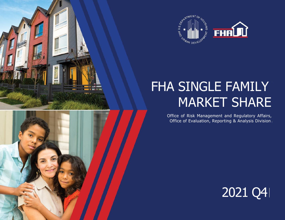



# FHA SINGLE FAMILY MARKET SHARE

Office of Risk Management and Regulatory Affairs, Office of Evaluation, Reporting & Analysis Division

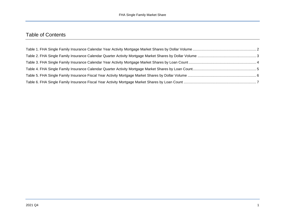## Table of Contents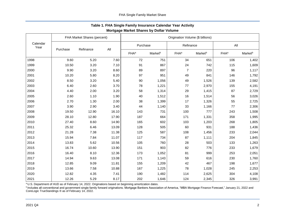<span id="page-2-0"></span>

|                  | FHA Market Shares (percent) |           |       | Origination Volume (\$ billions) |         |                         |         |                         |                     |
|------------------|-----------------------------|-----------|-------|----------------------------------|---------|-------------------------|---------|-------------------------|---------------------|
| Calendar<br>Year |                             |           |       | Purchase                         |         | Refinance               |         | All                     |                     |
|                  | Purchase                    | Refinance | All   | <b>FHA</b> <sup>a</sup>          | Marketb | <b>FHA</b> <sup>a</sup> | Marketb | <b>FHA</b> <sup>a</sup> | Market <sup>b</sup> |
| 1998             | 9.60                        | 5.20      | 7.60  | 72                               | 751     | 34                      | 651     | 106                     | 1,402               |
| 1999             | 10.50                       | 3.20      | 7.10  | 91                               | 867     | 24                      | 742     | 115                     | 1,609               |
| 2000             | 9.90                        | 3.20      | 8.60  | 89                               | 897     | $\overline{7}$          | 220     | 96                      | 1,117               |
| 2001             | 10.20                       | 5.80      | 8.20  | 97                               | 951     | 49                      | 841     | 146                     | 1,792               |
| 2002             | 8.50                        | 3.20      | 5.40  | 90                               | 1,056   | 49                      | 1,526   | 139                     | 2,582               |
| 2003             | 6.40                        | 2.60      | 3.70  | 78                               | 1,221   | 77                      | 2,970   | 155                     | 4,191               |
| 2004             | 4.40                        | 2.00      | 3.20  | 58                               | 1,314   | 29                      | 1,415   | 87                      | 2,729               |
| 2005             | 2.60                        | 1.10      | 1.90  | 40                               | 1,512   | 16                      | 1,514   | 56                      | 3,026               |
| 2006             | 2.70                        | 1.30      | 2.00  | 38                               | 1,399   | 17                      | 1,326   | 55                      | 2,725               |
| 2007             | 3.90                        | 2.90      | 3.40  | 44                               | 1,140   | 33                      | 1,166   | 77                      | 2,306               |
| 2008             | 19.50                       | 12.90     | 16.10 | 143                              | 731     | 100                     | 777     | 243                     | 1,508               |
| 2009             | 28.10                       | 12.80     | 17.90 | 187                              | 664     | 171                     | 1,331   | 358                     | 1,995               |
| 2010             | 27.40                       | 8.60      | 14.90 | 165                              | 602     | 103                     | 1,203   | 268                     | 1,805               |
| 2011             | 25.32                       | 6.46      | 13.09 | 128                              | 505     | 60                      | 931     | 188                     | 1,436               |
| 2012             | 21.28                       | 7.38      | 11.38 | 125                              | 587     | 108                     | 1,456   | 233                     | 2,044               |
| 2013             | 15.94                       | 7.84      | 11.07 | 117                              | 734     | 87                      | 1,111   | 204                     | 1,845               |
| 2014             | 13.83                       | 5.62      | 10.56 | 105                              | 760     | 28                      | 503     | 133                     | 1,263               |
| 2015             | 16.74                       | 10.60     | 13.90 | 151                              | 903     | 82                      | 776     | 233                     | 1,679               |
| 2016             | 16.40                       | 8.10      | 12.36 | 173                              | 1,052   | 81                      | 999     | 253                     | 2,051               |
| 2017             | 14.94                       | 9.63      | 13.08 | 171                              | 1,143   | 59                      | 616     | 230                     | 1,760               |
| 2018             | 12.85                       | 9.09      | 11.81 | 155                              | 1,209   | 42                      | 467     | 198                     | 1,677               |
| 2019             | 13.66                       | 7.58      | 10.88 | 167                              | 1,225   | 78                      | 1,028   | 245                     | 2,253               |
| 2020             | 12.82                       | 4.35      | 7.41  | 190                              | 1,482   | 114                     | 2,625   | 304                     | 4,108               |
| 2021             | 12.26                       | 5.29      | 8.17  | 202                              | 1,646   | 124                     | 2,345   | 326                     | 3,991               |

## **Table 1. FHA Single Family Insurance Calendar Year Activity Mortgage Market Shares by Dollar Volume**

<sup>a</sup> U.S. Department of HUD as of February 14, 2022. Originations based on beginning amortization dates.

**b**Includes all conventional and government single family forward originations. Mortgage Bankers Association of America, "MBA Mortgage Finance Forecast," January 21, 2022 and CoreLogic TrueStandings ® as of February 14, 2022.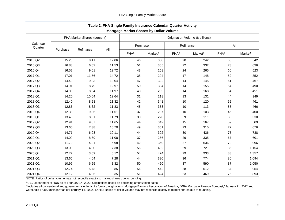<span id="page-3-0"></span>

|                     | FHA Market Shares (percent) |           |       | Origination Volume (\$ billions) |                     |                         |           |                         |         |  |
|---------------------|-----------------------------|-----------|-------|----------------------------------|---------------------|-------------------------|-----------|-------------------------|---------|--|
| Calendar<br>Quarter |                             |           |       |                                  | Purchase            |                         | Refinance |                         | All     |  |
|                     | Purchase                    | Refinance | All   | <b>FHA</b> <sup>a</sup>          | Market <sup>b</sup> | <b>FHA</b> <sup>a</sup> | Marketb   | <b>FHA</b> <sup>a</sup> | Marketb |  |
| 2016 Q2             | 15.25                       | 8.11      | 12.06 | 46                               | 300                 | 20                      | 242       | 65                      | 542     |  |
| 2016 Q3             | 16.88                       | 6.62      | 11.53 | 51                               | 305                 | 22                      | 332       | 73                      | 636     |  |
| 2016 Q4             | 16.52                       | 9.01      | 12.72 | 43                               | 258                 | 24                      | 265       | 66                      | 523     |  |
| 2017 Q1             | 17.01                       | 11.56     | 14.72 | 35                               | 204                 | 17                      | 148       | 52                      | 352     |  |
| 2017 Q2             | 14.49                       | 9.83      | 13.04 | 47                               | 322                 | 14                      | 145       | 61                      | 467     |  |
| 2017 Q3             | 14.91                       | 8.79      | 12.97 | 50                               | 334                 | 14                      | 155       | 64                      | 490     |  |
| 2017 Q4             | 14.00                       | 8.54      | 11.97 | 40                               | 283                 | 14                      | 168       | 54                      | 451     |  |
| 2018 Q1             | 14.20                       | 10.04     | 12.64 | 31                               | 218                 | 13                      | 131       | 44                      | 349     |  |
| 2018 Q2             | 12.40                       | 8.28      | 11.32 | 42                               | 341                 | 10                      | 120       | 52                      | 461     |  |
| 2018 Q3             | 12.86                       | 8.62      | 11.83 | 45                               | 353                 | 10                      | 113       | 55                      | 466     |  |
| 2018 Q4             | 12.38                       | 9.36      | 11.61 | 37                               | 297                 | 10                      | 103       | 46                      | 400     |  |
| 2019 Q1             | 13.45                       | 8.51      | 11.79 | 30                               | 220                 | 9                       | 111       | 39                      | 330     |  |
| 2019 Q2             | 12.91                       | 9.07      | 11.65 | 44                               | 342                 | 15                      | 167       | 59                      | 509     |  |
| 2019 Q3             | 13.60                       | 7.38      | 10.70 | 49                               | 361                 | 23                      | 315       | 72                      | 676     |  |
| 2019 Q4             | 14.71                       | 6.93      | 10.11 | 44                               | 302                 | 30                      | 436       | 75                      | 738     |  |
| 2020 Q1             | 14.09                       | 8.69      | 11.08 | 37                               | 266                 | 29                      | 335       | 67                      | 601     |  |
| 2020 Q2             | 11.70                       | 4.31      | 6.98  | 42                               | 360                 | 27                      | 636       | 70                      | 996     |  |
| 2020 Q3             | 13.03                       | 4.00      | 7.38  | 56                               | 432                 | 29                      | 721       | 85                      | 1,154   |  |
| 2020 Q4             | 12.77                       | 3.09      | 6.12  | 54                               | 424                 | 29                      | 933       | 83                      | 1,357   |  |
| 2021 Q1             | 13.65                       | 4.64      | 7.28  | 44                               | 320                 | 36                      | 774       | 80                      | 1,094   |  |
| 2021 Q2             | 10.97                       | 6.25      | 8.32  | 50                               | 460                 | 37                      | 590       | 87                      | 1,050   |  |
| 2021 Q3             | 12.74                       | 5.48      | 8.85  | 56                               | 442                 | 28                      | 512       | 84                      | 954     |  |
| 2021 Q4             | 12.12                       | 4.96      | 8.35  | 51                               | 424                 | 23                      | 469       | 75                      | 893     |  |

## **Table 2. FHA Single Family Insurance Calendar Quarter Activity Mortgage Market Shares by Dollar Volume**

NOTE: Ratios of dollar volume may not reconcile exactly to market shares due to rounding.

a U.S. Department of HUD as of February 14, 2022. Originations based on beginning amortization dates.

**b**Includes all conventional and government single family forward originations. Mortgage Bankers Association of America, "MBA Mortgage Finance Forecast," January 21, 2022 and CoreLogic TrueStandings ® as of February 14, 2022. NOTE: Ratios of dollar volume may not reconcile exactly to market shares due to rounding.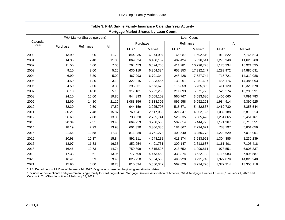<span id="page-4-0"></span>

|                  |          | FHA Market Shares (percent) |       | Loan Count              |                     |                         |            |                         |                     |  |
|------------------|----------|-----------------------------|-------|-------------------------|---------------------|-------------------------|------------|-------------------------|---------------------|--|
| Calendar<br>Year |          |                             |       | Purchase                |                     | Refinance               |            | All                     |                     |  |
|                  | Purchase | Refinance                   | All   | <b>FHA</b> <sup>a</sup> | Market <sup>b</sup> | <b>FHA</b> <sup>a</sup> | Marketb    | <b>FHA</b> <sup>a</sup> | Market <sup>b</sup> |  |
| 2000             | 13.90    | 3.90                        | 11.70 | 844,835                 | 6,074,004           | 65,987                  | 1,692,510  | 910,822                 | 7,766,513           |  |
| 2001             | 14.30    | 7.40                        | 11.00 | 869,524                 | 6,100,159           | 407,424                 | 5,526,541  | 1,276,948               | 11,626,700          |  |
| 2002             | 11.50    | 4.00                        | 7.00  | 764,453                 | 6,624,756           | 411,781                 | 10,296,778 | 1,176,234               | 16,921,535          |  |
| 2003             | 9.10     | 3.60                        | 5.20  | 630,119                 | 6,954,384           | 652,853                 | 17,932,247 | 1,282,972               | 24,886,631          |  |
| 2004             | 6.90     | 3.30                        | 5.00  | 467,293                 | 6,791,344           | 248,428                 | 7,527,744  | 715,721                 | 14,319,088          |  |
| 2005             | 4.50     | 1.80                        | 3.10  | 322,915                 | 7,233,456           | 133,261                 | 7,251,637  | 456,176                 | 14,485,093          |  |
| 2006             | 4.50     | 2.00                        | 3.30  | 295,261                 | 6,563,679           | 115,859                 | 5,765,899  | 411,120                 | 12,329,578          |  |
| 2007             | 6.10     | 4.20                        | 5.10  | 317,181                 | 5,222,266           | 211,093                 | 5,071,725  | 528,274                 | 10,293,991          |  |
| 2008             | 24.10    | 15.60                       | 19.80 | 844,893                 | 3,508,103           | 560,767                 | 3,583,680  | 1,405,660               | 7,091,783           |  |
| 2009             | 32.60    | 14.80                       | 21.10 | 1,088,356               | 3,338,302           | 896,558                 | 6,052,223  | 1,984,914               | 9,390,525           |  |
| 2010             | 32.30    | 9.50                        | 17.50 | 944,159                 | 2,925,707           | 518,571                 | 5,432,837  | 1,462,730               | 8,358,544           |  |
| 2011             | 30.21    | 7.48                        | 15.87 | 760,341                 | 2,517,088           | 321,847                 | 4,302,125  | 1,082,188               | 6,819,213           |  |
| 2012             | 26.69    | 7.88                        | 13.38 | 738,230                 | 2,765,741           | 526,635                 | 6,685,420  | 1,264,865               | 9,451,161           |  |
| 2013             | 20.34    | 9.31                        | 13.45 | 664,953                 | 3,268,558           | 507,014                 | 5,444,793  | 1,171,967               | 8,713,351           |  |
| 2014             | 18.19    | 7.93                        | 13.98 | 601,330                 | 3,306,385           | 181,867                 | 2,294,671  | 783,197                 | 5,601,056           |  |
| 2015             | 21.56    | 12.58                       | 17.39 | 811,089                 | 3,761,273           | 409,540                 | 3,256,778  | 1,220,629               | 7,018,051           |  |
| 2016             | 20.98    | 10.37                       | 15.84 | 891,211                 | 4,248,288           | 413,174                 | 3,983,951  | 1,304,385               | 8,232,239           |  |
| 2017             | 18.97    | 11.83                       | 16.35 | 852,254                 | 4,491,731           | 309,147                 | 2,613,687  | 1,161,401               | 7,105,418           |  |
| 2018             | 16.46    | 10.73                       | 14.74 | 759,899                 | 4,615,526           | 213,652                 | 1,990,811  | 973,551                 | 6,606,337           |  |
| 2019             | 17.38    | 9.61                        | 13.96 | 777,609                 | 4,473,459           | 338,374                 | 3,522,128  | 1,115,983               | 7,995,587           |  |
| 2020             | 16.41    | 5.53                        | 9.43  | 825,950                 | 5,034,500           | 496,929                 | 8,991,740  | 1,322,879               | 14,026,240          |  |
| 2021             | 15.95    | 6.80                        | 10.28 | 810,094                 | 5,080,342           | 562,820                 | 8,274,776  | 1,372,914               | 13,355,118          |  |

## **Table 3. FHA Single Family Insurance Calendar Year Activity**

### **Mortgage Market Shares by Loan Count**

a U.S. Department of HUD as of February 14, 2022. Originations based on beginning amortization dates.

**b** Includes all conventional and government single family forward originations. Mortgage Bankers Association of America, "MBA Mortgage Finance Forecast," January 21, 2022 and CoreLogic TrueStandings ® as of February 14, 2022.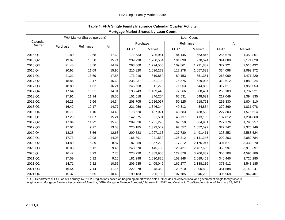<span id="page-5-0"></span>

|                     |          | FHA Market Shares (percent) |       | Loan Count              |                     |                         |                     |                         |           |  |
|---------------------|----------|-----------------------------|-------|-------------------------|---------------------|-------------------------|---------------------|-------------------------|-----------|--|
| Calendar<br>Quarter |          |                             | All   |                         | Purchase            |                         | Refinance           | All                     |           |  |
|                     | Purchase | Refinance                   |       | <b>FHA</b> <sup>a</sup> | Market <sup>b</sup> | <b>FHA</b> <sup>a</sup> | Market <sup>b</sup> | <b>FHA</b> <sup>a</sup> | Marketb   |  |
| 2016 Q1             | 21.80    | 12.68                       | 17.62 | 171,533                 | 786,961             | 84,145                  | 663,846             | 255,678                 | 1,450,807 |  |
| 2016 Q2             | 19.97    | 10.50                       | 15.74 | 239,798                 | 1,200,504           | 101,890                 | 970,524             | 341,688                 | 2,171,028 |  |
| 2016 Q3             | 21.48    | 8.50                        | 14.82 | 263,060                 | 1,224,550           | 109,861                 | 1,291,882           | 372,921                 | 2,516,432 |  |
| 2016 Q4             | 20.92    | 11.09                       | 15.96 | 216,820                 | 1,036,273           | 117,278                 | 1,057,699           | 334,098                 | 2,093,972 |  |
| 2017 Q1             | 21.21    | 13.69                       | 17.88 | 173,916                 | 819,869             | 89,153                  | 651,351             | 263,069                 | 1,471,220 |  |
| 2017 Q2             | 18.86    | 12.17                       | 16.63 | 236,037                 | 1,251,199           | 76,575                  | 629,025             | 312,612                 | 1,880,224 |  |
| 2017 Q3             | 18.80    | 11.02                       | 16.24 | 246,558                 | 1,311,223           | 71,053                  | 644,830             | 317,611                 | 1,956,053 |  |
| 2017 Q4             | 17.64    | 10.51                       | 14.91 | 195,743                 | 1,109,440           | 72,366                  | 688,481             | 268,109                 | 1,797,921 |  |
| 2018 Q1             | 17.91    | 11.94                       | 15.56 | 151,518                 | 846,204             | 65,531                  | 548,631             | 217,049                 | 1,394,835 |  |
| 2018 Q2             | 16.23    | 9.66                        | 14.34 | 208,705                 | 1,286,057           | 50,125                  | 518,753             | 258,830                 | 1,804,810 |  |
| 2018 Q3             | 16.42    | 10.17                       | 14.77 | 221,056                 | 1,346,244           | 49,313                  | 484,834             | 270,369                 | 1,831,078 |  |
| 2018 Q4             | 15.71    | 11.10                       | 14.43 | 178,620                 | 1,137,021           | 48,683                  | 438,593             | 227,303                 | 1,575,614 |  |
| 2019 Q1             | 17.29    | 11.07                       | 15.21 | 142,075                 | 821,501             | 45,737                  | 413,159             | 187,812                 | 1,234,660 |  |
| 2019 Q2             | 17.04    | 11.92                       | 15.43 | 209,826                 | 1,231,296           | 67,350                  | 564,961             | 277,176                 | 1,796,257 |  |
| 2019 Q3             | 17.01    | 9.27                        | 13.58 | 225,185                 | 1,323,549           | 97,557                  | 1,052,597           | 322,742                 | 2,376,146 |  |
| 2019 Q4             | 18.28    | 8.56                        | 12.68 | 200,523                 | 1,097,113           | 127,730                 | 1,491,411           | 328,253                 | 2,588,524 |  |
| 2020 Q1             | 17.73    | 10.98                       | 14.03 | 166,891                 | 941,539             | 125,312                 | 1,141,245           | 292,203                 | 2,082,784 |  |
| 2020 Q2             | 14.89    | 5.39                        | 8.87  | 187,259                 | 1,257,223           | 117,312                 | 2,176,047           | 304,571                 | 3,433,270 |  |
| 2020 Q3             | 16.85    | 5.12                        | 9.45  | 243,570                 | 1,445,788           | 126,427                 | 2,467,609           | 369,997                 | 3,913,397 |  |
| 2020 Q4             | 16.42    | 3.99                        | 7.75  | 228,230                 | 1,389,950           | 127,878                 | 3,206,839           | 356,108                 | 4,596,789 |  |
| 2021 Q1             | 17.59    | 5.92                        | 9.15  | 181,298                 | 1,030,826           | 159,148                 | 2,689,459           | 340,446                 | 3,720,285 |  |
| 2021 Q2             | 14.71    | 7.82                        | 10.55 | 206,635                 | 1,405,049           | 167,277                 | 2,138,136           | 373,912                 | 3,543,185 |  |
| 2021 Q3             | 16.54    | 7.14                        | 11.16 | 222,978                 | 1,348,359           | 128,610                 | 1,800,882           | 351,588                 | 3,149,241 |  |
| 2021 Q4             | 15.37    | 6.55                        | 10.43 | 199,183                 | 1,296,108           | 107,785                 | 1,646,299           | 306,968                 | 2,942,407 |  |

## **Table 4. FHA Single Family Insurance Calendar Quarter Activity**

**Mortgage Market Shares by Loan Count**

a U.S. Department of HUD as of February 14, 2022. Originations based on beginning amortization dates. **b**Includes all conventional and government single family forward originations. Mortgage Bankers Association of America, "MBA Mortgage Finance Forecast," January 21, 2022 and CoreLogic TrueStandings ® as of February 14, 2022.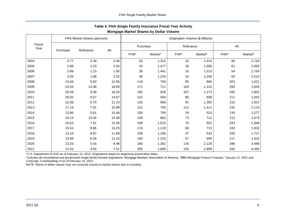|                | FHA Market Shares (percent) |           |       | Origination Volume (\$ billions) |                     |                         |                     |                  |                     |
|----------------|-----------------------------|-----------|-------|----------------------------------|---------------------|-------------------------|---------------------|------------------|---------------------|
| Fiscal<br>Year | Purchase                    | Refinance |       | Purchase                         |                     | Refinance               |                     | All              |                     |
|                |                             |           | All   | <b>FHA</b> <sup>a</sup>          | Market <sup>b</sup> | <b>FHA</b> <sup>a</sup> | Market <sup>b</sup> | FHA <sup>a</sup> | Market <sup>b</sup> |
| 2004           | 4.77                        | 2.30      | 3.49  | 63                               | 1,314               | 32                      | 1,415               | 95               | 2,729               |
| 2005           | 2.88                        | 1.23      | 2.04  | 43                               | 1,477               | 18                      | 1,506               | 61               | 2,983               |
| 2006           | 2.68                        | 1.15      | 1.95  | 39                               | 1,441               | 15                      | 1,313               | 54               | 2,754               |
| 2007           | 3.20                        | 1.88      | 2.52  | 39                               | 1,224               | 24                      | 1,290               | 63               | 2,514               |
| 2008           | 15.68                       | 9.83      | 12.56 | 118                              | 754                 | 85                      | 866                 | 203              | 1,621               |
| 2009           | 24.04                       | 14.36     | 18.09 | 171                              | 711                 | 163                     | 1,133               | 334              | 1,844               |
| 2010           | 29.49                       | 9.09      | 16.20 | 185                              | 628                 | 107                     | 1,173               | 292              | 1,801               |
| 2011           | 26.02                       | 8.57      | 14.67 | 131                              | 504                 | 80                      | 938                 | 211              | 1,442               |
| 2012           | 22.08                       | 6.70      | 11.23 | 125                              | 566                 | 91                      | 1,355               | 216              | 1,921               |
| 2013           | 17.16                       | 7.91      | 10.99 | 121                              | 705                 | 112                     | 1,411               | 232              | 2,116               |
| 2014           | 13.86                       | 5.61      | 10.48 | 105                              | 754                 | 29                      | 523                 | 134              | 1,277               |
| 2015           | 16.14                       | 10.26     | 13.48 | 139                              | 862                 | 73                      | 712                 | 212              | 1,573               |
| 2016           | 16.64                       | 7.91      | 12.46 | 169                              | 1,015               | 74                      | 931                 | 243              | 1,946               |
| 2017           | 15.54                       | 9.66      | 13.25 | 174                              | 1,119               | 69                      | 713                 | 243              | 1,832               |
| 2018           | 13.24                       | 8.87      | 11.89 | 158                              | 1,195               | 47                      | 532                 | 205              | 1,727               |
| 2019           | 13.08                       | 8.26      | 11.33 | 160                              | 1,220               | 57                      | 695                 | 217              | 1,915               |
| 2020           | 13.26                       | 5.43      | 8.48  | 180                              | 1,361               | 116                     | 2,129               | 296              | 3,489               |
| 2021           | 12.43                       | 4.62      | 7.51  | 205                              | 1,646               | 130                     | 2,809               | 334              | 4,455               |

## <span id="page-6-0"></span>**Table 5. FHA Single Family Insurance Fiscal Year Activity Mortgage Market Shares by Dollar Volume**

a U.S. Department of HUD as of February 14, 2022. Originations based on beginning amortization dates.

**b**Includes all conventional and government single family forward originations. Mortgage Bankers Association of America, "MBA Mortgage Finance Forecast," January 21, 2022 and CoreLogic TrueStandings ® as of February 14, 2022.

NOTE: Ratios of dollar volume may not reconcile exactly to market shares due to rounding.